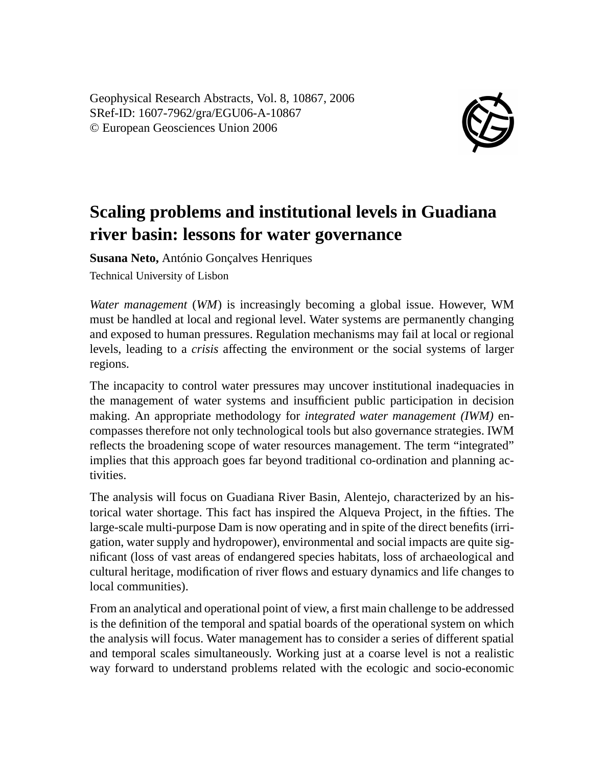Geophysical Research Abstracts, Vol. 8, 10867, 2006 SRef-ID: 1607-7962/gra/EGU06-A-10867 © European Geosciences Union 2006



## **Scaling problems and institutional levels in Guadiana river basin: lessons for water governance**

**Susana Neto,** António Gonçalves Henriques

Technical University of Lisbon

*Water management* (*WM*) is increasingly becoming a global issue. However, WM must be handled at local and regional level. Water systems are permanently changing and exposed to human pressures. Regulation mechanisms may fail at local or regional levels, leading to a *crisis* affecting the environment or the social systems of larger regions.

The incapacity to control water pressures may uncover institutional inadequacies in the management of water systems and insufficient public participation in decision making. An appropriate methodology for *integrated water management (IWM)* encompasses therefore not only technological tools but also governance strategies. IWM reflects the broadening scope of water resources management. The term "integrated" implies that this approach goes far beyond traditional co-ordination and planning activities.

The analysis will focus on Guadiana River Basin, Alentejo, characterized by an historical water shortage. This fact has inspired the Alqueva Project, in the fifties. The large-scale multi-purpose Dam is now operating and in spite of the direct benefits (irrigation, water supply and hydropower), environmental and social impacts are quite significant (loss of vast areas of endangered species habitats, loss of archaeological and cultural heritage, modification of river flows and estuary dynamics and life changes to local communities).

From an analytical and operational point of view, a first main challenge to be addressed is the definition of the temporal and spatial boards of the operational system on which the analysis will focus. Water management has to consider a series of different spatial and temporal scales simultaneously. Working just at a coarse level is not a realistic way forward to understand problems related with the ecologic and socio-economic